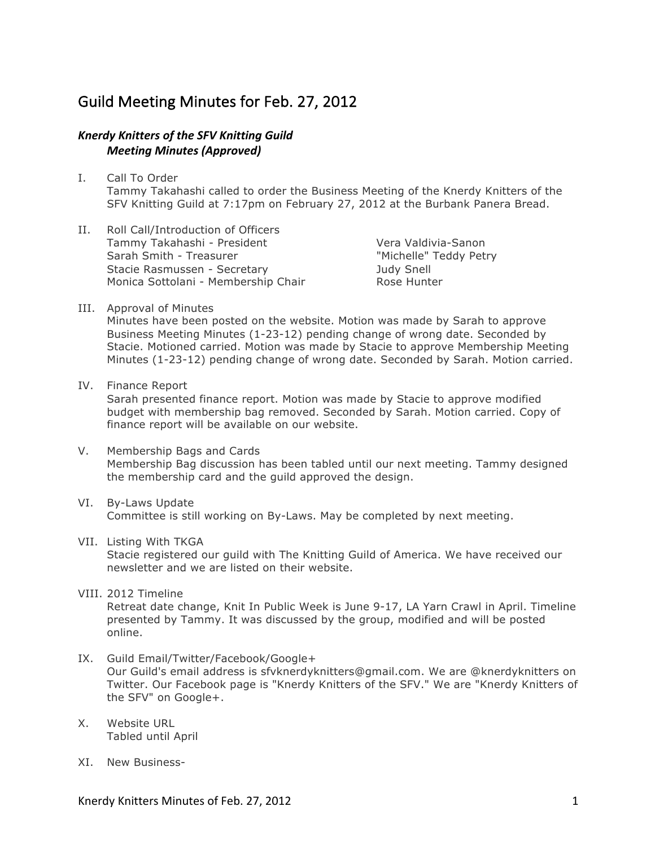## Guild Meeting Minutes for Feb. 27, 2012

## **Knerdy Knitters of the SFV Knitting Guild** *Meeting Minutes (Approved)*

- I. Call To Order Tammy Takahashi called to order the Business Meeting of the Knerdy Knitters of the SFV Knitting Guild at 7:17pm on February 27, 2012 at the Burbank Panera Bread.
- II. Roll Call/Introduction of Officers Tammy Takahashi - President Sarah Smith - Treasurer Stacie Rasmussen - Secretary Monica Sottolani - Membership Chair

Vera Valdivia-Sanon "Michelle" Teddy Petry Judy Snell Rose Hunter

III. Approval of Minutes

Minutes have been posted on the website. Motion was made by Sarah to approve Business Meeting Minutes (1-23-12) pending change of wrong date. Seconded by Stacie. Motioned carried. Motion was made by Stacie to approve Membership Meeting Minutes (1-23-12) pending change of wrong date. Seconded by Sarah. Motion carried.

- IV. Finance Report Sarah presented finance report. Motion was made by Stacie to approve modified budget with membership bag removed. Seconded by Sarah. Motion carried. Copy of finance report will be available on our website.
- V. Membership Bags and Cards Membership Bag discussion has been tabled until our next meeting. Tammy designed the membership card and the guild approved the design.
- VI. By-Laws Update Committee is still working on By-Laws. May be completed by next meeting.
- VII. Listing With TKGA

Stacie registered our guild with The Knitting Guild of America. We have received our newsletter and we are listed on their website.

VIII. 2012 Timeline

Retreat date change, Knit In Public Week is June 9-17, LA Yarn Crawl in April. Timeline presented by Tammy. It was discussed by the group, modified and will be posted online.

- IX. Guild Email/Twitter/Facebook/Google+ Our Guild's email address is sfvknerdyknitters@gmail.com. We are @knerdyknitters on Twitter. Our Facebook page is "Knerdy Knitters of the SFV." We are "Knerdy Knitters of the SFV" on Google+.
- X. Website URL Tabled until April
- XI. New Business-